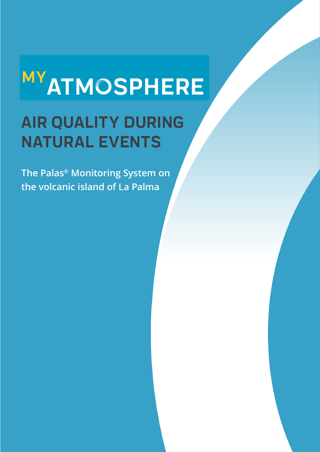## **MY ATMOSPHERE**

## **AIR QUALITY DURING NATURAL EVENTS**

**The Palas® Monitoring System on the volcanic island of La Palma**